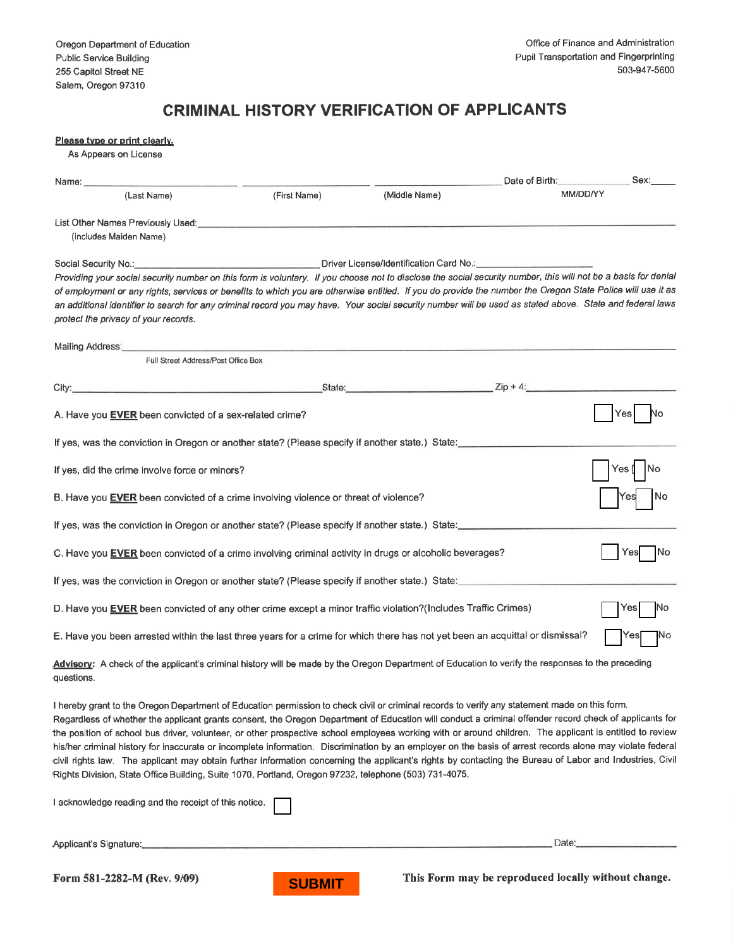## CRIMINAL HISTORY VERIFICATION OF APPLICANTS

| <u>Please type or print clearly.</u><br>As Appears on License                                                                                                                                                                                                                                                                                                                                                                                                                                                                                                                                                                                                                                                                                                                                                                                                                                         |              |               |                     |             |
|-------------------------------------------------------------------------------------------------------------------------------------------------------------------------------------------------------------------------------------------------------------------------------------------------------------------------------------------------------------------------------------------------------------------------------------------------------------------------------------------------------------------------------------------------------------------------------------------------------------------------------------------------------------------------------------------------------------------------------------------------------------------------------------------------------------------------------------------------------------------------------------------------------|--------------|---------------|---------------------|-------------|
|                                                                                                                                                                                                                                                                                                                                                                                                                                                                                                                                                                                                                                                                                                                                                                                                                                                                                                       |              |               | Date of Birth: Sex: |             |
| (Last Name)                                                                                                                                                                                                                                                                                                                                                                                                                                                                                                                                                                                                                                                                                                                                                                                                                                                                                           | (First Name) | (Middle Name) | MM/DD/YY            |             |
| (includes Maiden Name)                                                                                                                                                                                                                                                                                                                                                                                                                                                                                                                                                                                                                                                                                                                                                                                                                                                                                |              |               |                     |             |
| Social Security No.: Contract the Contract of Diver License/Identification Card No.: Contract of Diver License<br>Providing your social security number on this form is voluntary. If you choose not to disclose the social security number, this will not be a basis for denial<br>of employment or any rights, services or benefits to which you are otherwise entitled. If you do provide the number the Oregon State Police will use it as<br>an additional identifier to search for any criminal record you may have. Your social security number will be used as stated above. State and federal laws<br>protect the privacy of your records.                                                                                                                                                                                                                                                   |              |               |                     |             |
| Mailing Address: Annual Mail and Mail and Mail and Mail and Mail and Mail and Mail and Mail and Mail and Mail and Mail and Mail and Mail and Mail and Mail and Mail and Mail and Mail and Mail and Mail and Mail and Mail and<br>Full Street Address/Post Office Box                                                                                                                                                                                                                                                                                                                                                                                                                                                                                                                                                                                                                                  |              |               |                     |             |
| City: <u>City: Zip + 4:</u>                                                                                                                                                                                                                                                                                                                                                                                                                                                                                                                                                                                                                                                                                                                                                                                                                                                                           |              |               |                     |             |
| A. Have you <b>EVER</b> been convicted of a sex-related crime?                                                                                                                                                                                                                                                                                                                                                                                                                                                                                                                                                                                                                                                                                                                                                                                                                                        |              |               |                     | Yes∣        |
| If yes, was the conviction in Oregon or another state? (Please specify if another state.) State:                                                                                                                                                                                                                                                                                                                                                                                                                                                                                                                                                                                                                                                                                                                                                                                                      |              |               |                     |             |
| If yes, did the crime involve force or minors?                                                                                                                                                                                                                                                                                                                                                                                                                                                                                                                                                                                                                                                                                                                                                                                                                                                        |              |               |                     | Yes         |
| B. Have you EVER been convicted of a crime involving violence or threat of violence?                                                                                                                                                                                                                                                                                                                                                                                                                                                                                                                                                                                                                                                                                                                                                                                                                  |              |               |                     | No<br>Yes   |
| If yes, was the conviction in Oregon or another state? (Please specify if another state.) State:                                                                                                                                                                                                                                                                                                                                                                                                                                                                                                                                                                                                                                                                                                                                                                                                      |              |               |                     |             |
| C. Have you EVER been convicted of a crime involving criminal activity in drugs or alcoholic beverages?                                                                                                                                                                                                                                                                                                                                                                                                                                                                                                                                                                                                                                                                                                                                                                                               |              |               |                     | Yes<br>-INo |
| If yes, was the conviction in Oregon or another state? (Please specify if another state.) State:                                                                                                                                                                                                                                                                                                                                                                                                                                                                                                                                                                                                                                                                                                                                                                                                      |              |               |                     |             |
| D. Have you EVER been convicted of any other crime except a minor traffic violation?(Includes Traffic Crimes)                                                                                                                                                                                                                                                                                                                                                                                                                                                                                                                                                                                                                                                                                                                                                                                         |              |               |                     | Yes         |
| E. Have you been arrested within the last three years for a crime for which there has not yet been an acquittal or dismissal?                                                                                                                                                                                                                                                                                                                                                                                                                                                                                                                                                                                                                                                                                                                                                                         |              |               |                     | <b>Yes</b>  |
| Advisory: A check of the applicant's criminal history will be made by the Oregon Department of Education to verify the responses to the preceding<br>questions.                                                                                                                                                                                                                                                                                                                                                                                                                                                                                                                                                                                                                                                                                                                                       |              |               |                     |             |
| I hereby grant to the Oregon Department of Education permission to check civil or criminal records to verify any statement made on this form.<br>Regardless of whether the applicant grants consent, the Oregon Department of Education will conduct a criminal offender record check of applicants for<br>the position of school bus driver, volunteer, or other prospective school employees working with or around children. The applicant is entitled to review<br>his/her criminal history for inaccurate or incomplete information. Discrimination by an employer on the basis of arrest records alone may violate federal<br>civil rights law. The applicant may obtain further information concerning the applicant's rights by contacting the Bureau of Labor and Industries, Civil<br>Rights Division, State Office Building, Suite 1070, Portland, Oregon 97232, telephone (503) 731-4075. |              |               |                     |             |
| I acknowledge reading and the receipt of this notice.                                                                                                                                                                                                                                                                                                                                                                                                                                                                                                                                                                                                                                                                                                                                                                                                                                                 |              |               |                     |             |

Applicant's Signature:

Í'orm 581-2282-M (Rev. 9/09)



This Form may be reproduced locally without change.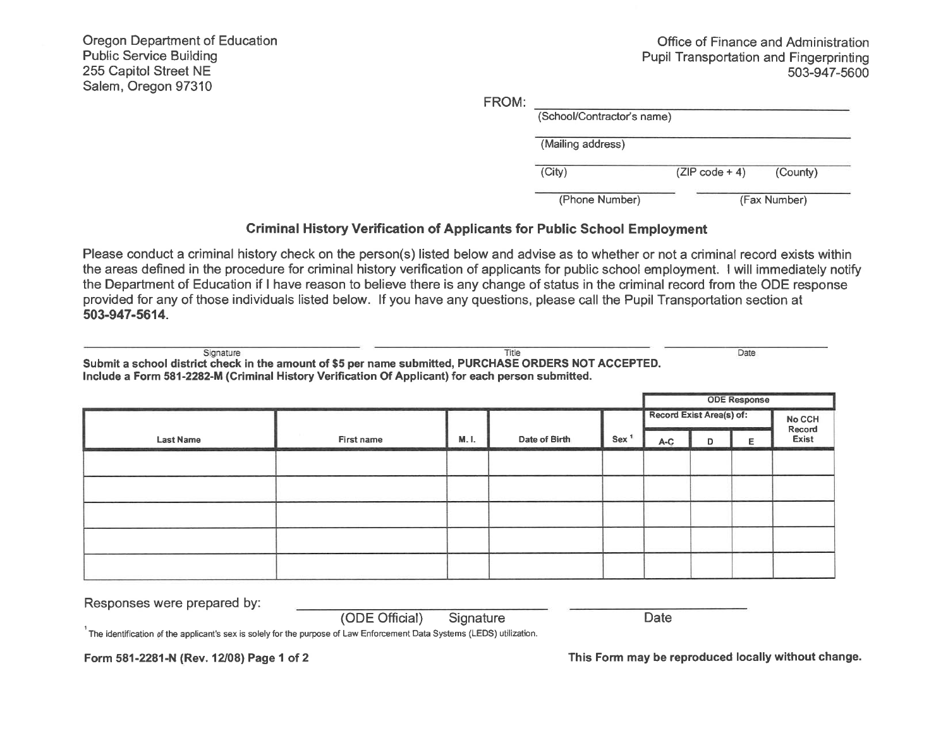Oregon Department of Education Public Service Building 255 Capitol Street NE Salem, Oregon 97310

Office of Finance and Administration Pupil Transportation and Fingerprinting 503-947-5600

Date

FROM:

| (School/Contractor's name) |                  |              |  |
|----------------------------|------------------|--------------|--|
| (Mailing address)          |                  |              |  |
| (City)                     | $(ZIP code + 4)$ | (County)     |  |
|                            |                  | (Fax Number) |  |

## Criminal History Verification of Applicants for Public School Employment

Please conduct a criminal history check on the person(s) listed below and advise as to whether or not a criminal record exists within the areas defined in the procedure for criminal history verification of applicants for public school employment. I will immediately notify the Department of Education if I have reason to believe there is any change of status in the criminal record from the ODE response provided for any of those individuals listed below. lf you have any questions, please call the Pupil Transportation section at 503-947-5614.

Title

Signature

Submit a school district check in the amount of \$5 per name submitted, PURCHASE ORDERS NOT ACCEPTED. Include a Form 581-2282-M (Criminal History Verification Of Applicant) for each person submitted.

|                  |            |       |                          |                  | <b>ODE Response</b>       |   |   |  |
|------------------|------------|-------|--------------------------|------------------|---------------------------|---|---|--|
|                  |            |       | Record Exist Area(s) of: |                  | No CCH<br>Record<br>Exist |   |   |  |
| <b>Last Name</b> | First name | M. I. | Date of Birth            | Sex <sup>1</sup> | $A-C$                     | D | Е |  |
|                  |            |       |                          |                  |                           |   |   |  |
|                  |            |       |                          |                  |                           |   |   |  |
|                  |            |       |                          |                  |                           |   |   |  |
|                  |            |       |                          |                  |                           |   |   |  |
|                  |            |       |                          |                  |                           |   |   |  |

Responses were prepared by: (ODE Offìcial) Signature

**Date** 

1<br>The identification of the applicant's sex is solely for the purpose of Law Enforcement Data Systems (LEDS) utilization.

Form 581-2281-N (Rev. 12/08) Page 1 of 2

This Form may be reproduced locally without change.